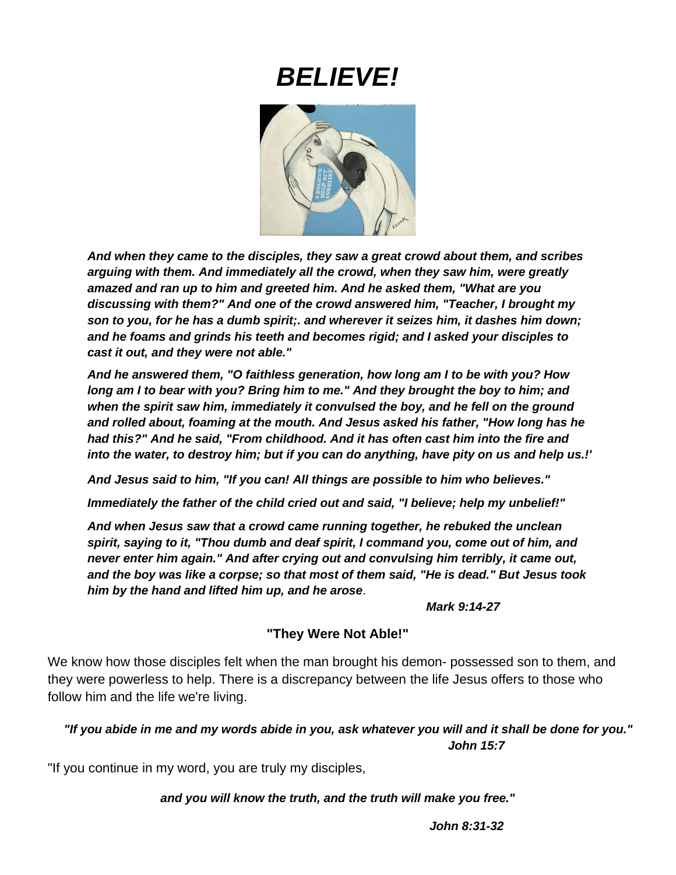# *BELIEVE!*



*And when they came to the disciples, they saw a great crowd about them, and scribes arguing with them. And immediately all the crowd, when they saw him, were greatly amazed and ran up to him and greeted him. And he asked them, "What are you discussing with them?" And one of the crowd answered him, "Teacher, I brought my son to you, for he has a dumb spirit;. and wherever it seizes him, it dashes him down; and he foams and grinds his teeth and becomes rigid; and I asked your disciples to cast it out, and they were not able."*

*And he answered them, "O faithless generation, how long am I to be with you? How long am I to bear with you? Bring him to me." And they brought the boy to him; and when the spirit saw him, immediately it convulsed the boy, and he fell on the ground and rolled about, foaming at the mouth. And Jesus asked his father, "How long has he had this?" And he said, "From childhood. And it has often cast him into the fire and into the water, to destroy him; but if you can do anything, have pity on us and help us.!'* 

*And Jesus said to him, "If you can! All things are possible to him who believes."* 

*Immediately the father of the child cried out and said, "I believe; help my unbelief!"* 

*And when Jesus saw that a crowd came running together, he rebuked the unclean spirit, saying to it, "Thou dumb and deaf spirit, I command you, come out of him, and never enter him again." And after crying out and convulsing him terribly, it came out, and the boy was like a corpse; so that most of them said, "He is dead." But Jesus took him by the hand and lifted him up, and he arose*.

*Mark 9:14-27*

### **"They Were Not Able!"**

We know how those disciples felt when the man brought his demon- possessed son to them, and they were powerless to help. There is a discrepancy between the life Jesus offers to those who follow him and the life we're living.

### *"If you abide in me and my words abide in you, ask whatever you will and it shall be done for you." John 15:7*

"If you continue in my word, you are truly my disciples,

*and you will know the truth, and the truth will make you free."*

*John 8:31-32*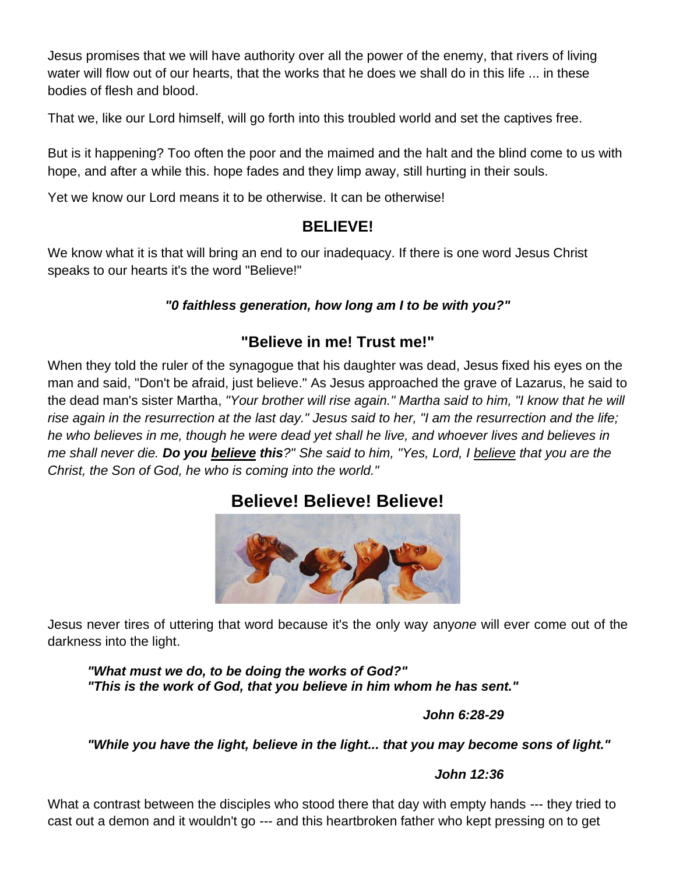Jesus promises that we will have authority over all the power of the enemy, that rivers of living water will flow out of our hearts, that the works that he does we shall do in this life ... in these bodies of flesh and blood.

That we, like our Lord himself, will go forth into this troubled world and set the captives free.

But is it happening? Too often the poor and the maimed and the halt and the blind come to us with hope, and after a while this. hope fades and they limp away, still hurting in their souls.

Yet we know our Lord means it to be otherwise. It can be otherwise!

### **BELIEVE!**

We know what it is that will bring an end to our inadequacy. If there is one word Jesus Christ speaks to our hearts it's the word "Believe!"

### *"0 faithless generation, how long am I to be with you?"*

# **"Believe in me! Trust me!"**

When they told the ruler of the synagogue that his daughter was dead, Jesus fixed his eyes on the man and said, "Don't be afraid, just believe." As Jesus approached the grave of Lazarus, he said to the dead man's sister Martha, *"Your brother will rise again." Martha said to him, "I know that he will rise again in the resurrection at the last day." Jesus said to her, "I am the resurrection and the life; he who believes in me, though he were dead yet shall he live, and whoever lives and believes in me shall never die. Do you believe this?" She said to him, "Yes, Lord, I believe that you are the Christ, the Son of God, he who is coming into the world."*

# **Believe! Believe! Believe!**



Jesus never tires of uttering that word because it's the only way any*one* will ever come out of the darkness into the light.

*"What must we do, to be doing the works of God?" "This is the work of God, that you believe in him whom he has sent."* 

### *John 6:28-29*

### *"While you have the light, believe in the light... that you may become sons of light."*

### *John 12:36*

What a contrast between the disciples who stood there that day with empty hands --- they tried to cast out a demon and it wouldn't go --- and this heartbroken father who kept pressing on to get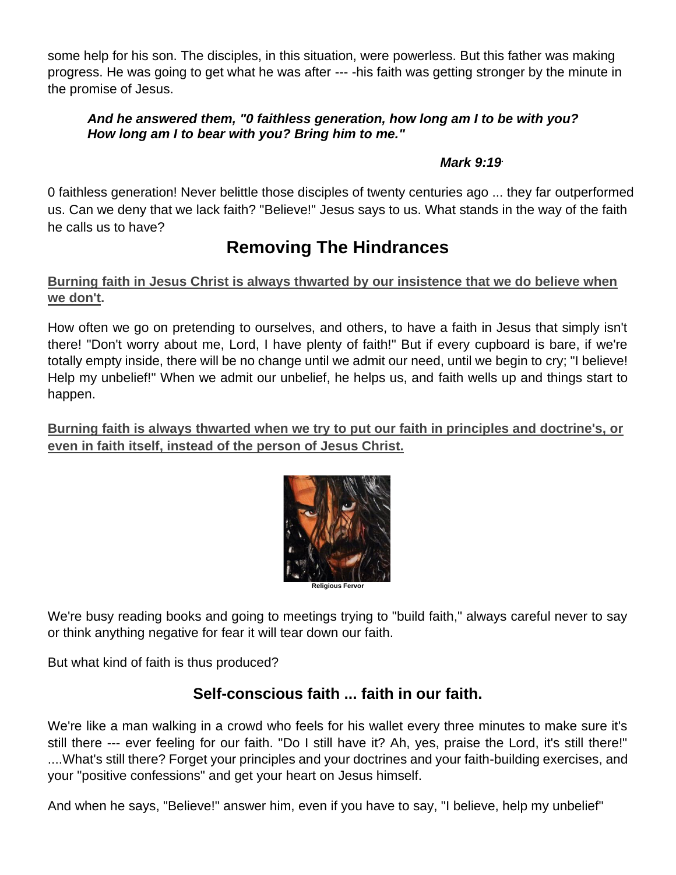some help for his son. The disciples, in this situation, were powerless. But this father was making progress. He was going to get what he was after --- -his faith was getting stronger by the minute in the promise of Jesus.

### *And he answered them, "0 faithless generation, how long am I to be with you? How long am I to bear with you? Bring him to me."*

### *Mark 9:19.*

0 faithless generation! Never belittle those disciples of twenty centuries ago ... they far outperformed us. Can we deny that we lack faith? "Believe!" Jesus says to us. What stands in the way of the faith he calls us to have?

# **Removing The Hindrances**

### **Burning faith in Jesus Christ is always thwarted by our insistence that we do believe when we don't.**

How often we go on pretending to ourselves, and others, to have a faith in Jesus that simply isn't there! "Don't worry about me, Lord, I have plenty of faith!" But if every cupboard is bare, if we're totally empty inside, there will be no change until we admit our need, until we begin to cry; "I believe! Help my unbelief!" When we admit our unbelief, he helps us, and faith wells up and things start to happen.

**Burning faith is always thwarted when we try to put our faith in principles and doctrine's, or even in faith itself, instead of the person of Jesus Christ.**



We're busy reading books and going to meetings trying to "build faith," always careful never to say or think anything negative for fear it will tear down our faith.

But what kind of faith is thus produced?

# **Self-conscious faith ... faith in our faith.**

We're like a man walking in a crowd who feels for his wallet every three minutes to make sure it's still there --- ever feeling for our faith. "Do I still have it? Ah, yes, praise the Lord, it's still there!" ....What's still there? Forget your principles and your doctrines and your faith-building exercises, and your "positive confessions" and get your heart on Jesus himself.

And when he says, "Believe!" answer him, even if you have to say, "I believe, help my unbelief"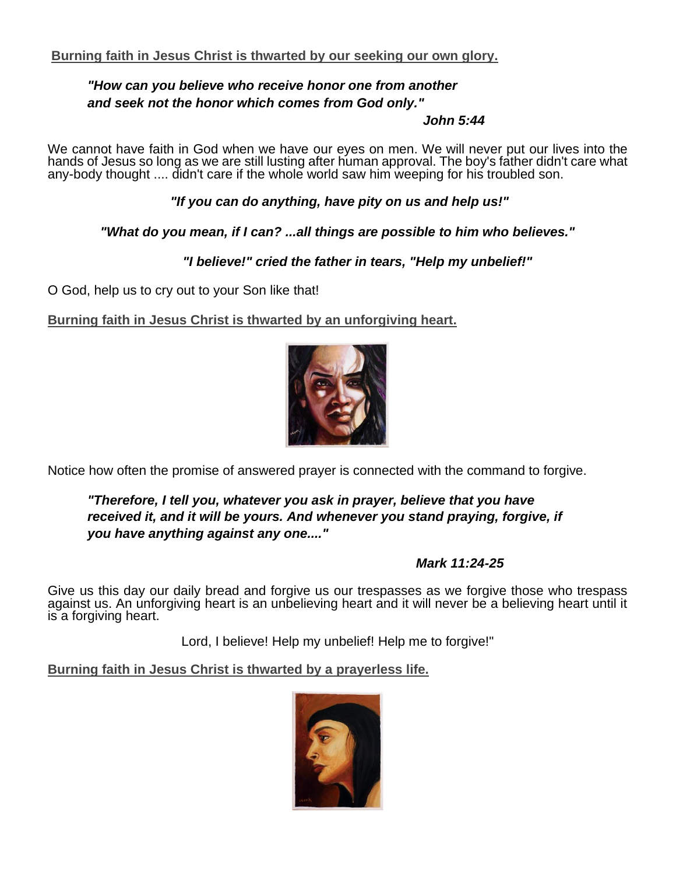### *"How can you believe who receive honor one from another and seek not the honor which comes from God only."*

### *John 5:44*

We cannot have faith in God when we have our eyes on men. We will never put our lives into the hands of Jesus so long as we are still lusting after human approval. The boy's father didn't care what any-body thought .... didn't care if the whole world saw him weeping for his troubled son.

*"If you can do anything, have pity on us and help us!"*

*"What do you mean, if I can? ...all things are possible to him who believes."*

 *"I believe!" cried the father in tears, "Help my unbelief!"*

O God, help us to cry out to your Son like that!

**Burning faith in Jesus Christ is thwarted by an unforgiving heart.**



Notice how often the promise of answered prayer is connected with the command to forgive.

*"Therefore, I tell you, whatever you ask in prayer, believe that you have received it, and it will be yours. And whenever you stand praying, forgive, if you have anything against any one...."*

### *Mark 11:24-25*

Give us this day our daily bread and forgive us our trespasses as we forgive those who trespass against us. An unforgiving heart is an unbelieving heart and it will never be a believing heart until it is a forgiving heart.

Lord, I believe! Help my unbelief! Help me to forgive!"

**Burning faith in Jesus Christ is thwarted by a prayerless life.**